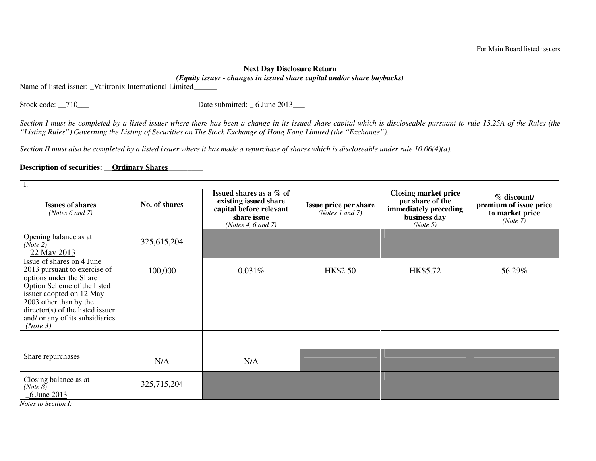## **Next Day Disclosure Return** *(Equity issuer - changes in issued share capital and/or share buybacks)*

Name of listed issuer: Varitronix International Limited

Stock code: \_\_710\_\_\_ Date submitted: \_6 June 2013\_\_\_

*Section I must be completed by a listed issuer where there has been a change in its issued share capital which is discloseable pursuant to rule 13.25A of the Rules (the "Listing Rules") Governing the Listing of Securities on The Stock Exchange of Hong Kong Limited (the "Exchange").* 

*Section II must also be completed by a listed issuer where it has made a repurchase of shares which is discloseable under rule 10.06(4)(a).* 

## Description of securities: <u>Ordinary Shares</u>

| <b>Issues of shares</b><br>( <i>Notes</i> $6$ and $7$ )                                                                                                                                                                                                                | No. of shares | Issued shares as a % of<br>existing issued share<br>capital before relevant<br>share issue<br>(Notes 4, 6 and 7) | <b>Issue price per share</b><br>( <i>Notes 1 and 7</i> ) | <b>Closing market price</b><br>per share of the<br>immediately preceding<br>business day<br>(Note 5) | $\%$ discount/<br>premium of issue price<br>to market price<br>(Note 7) |  |  |  |
|------------------------------------------------------------------------------------------------------------------------------------------------------------------------------------------------------------------------------------------------------------------------|---------------|------------------------------------------------------------------------------------------------------------------|----------------------------------------------------------|------------------------------------------------------------------------------------------------------|-------------------------------------------------------------------------|--|--|--|
| Opening balance as at<br>(Note 2)<br>22 May 2013                                                                                                                                                                                                                       | 325,615,204   |                                                                                                                  |                                                          |                                                                                                      |                                                                         |  |  |  |
| Issue of shares on 4 June<br>2013 pursuant to exercise of<br>options under the Share<br>Option Scheme of the listed<br>issuer adopted on 12 May<br>2003 other than by the<br>$\text{directory}(s)$ of the listed issuer<br>and/ or any of its subsidiaries<br>(Note 3) | 100,000       | 0.031%                                                                                                           | HK\$2.50                                                 | HK\$5.72                                                                                             | 56.29%                                                                  |  |  |  |
|                                                                                                                                                                                                                                                                        |               |                                                                                                                  |                                                          |                                                                                                      |                                                                         |  |  |  |
| Share repurchases                                                                                                                                                                                                                                                      | N/A           | N/A                                                                                                              |                                                          |                                                                                                      |                                                                         |  |  |  |
| Closing balance as at<br>(Note 8)<br>6 June 2013                                                                                                                                                                                                                       | 325,715,204   |                                                                                                                  |                                                          |                                                                                                      |                                                                         |  |  |  |

*Notes to Section I:*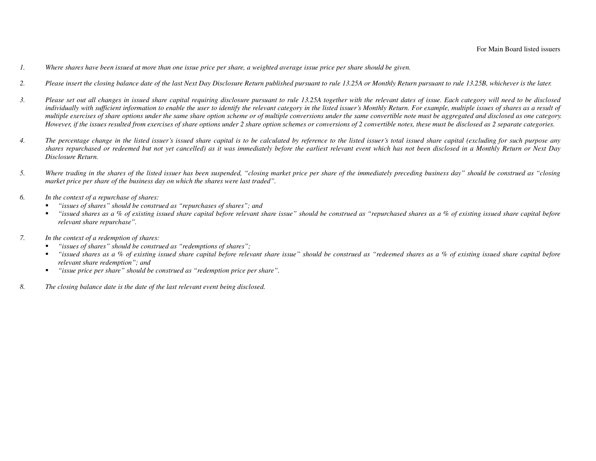- *1. Where shares have been issued at more than one issue price per share, a weighted average issue price per share should be given.*
- *2. Please insert the closing balance date of the last Next Day Disclosure Return published pursuant to rule 13.25A or Monthly Return pursuant to rule 13.25B, whichever is the later.*
- *3. Please set out all changes in issued share capital requiring disclosure pursuant to rule 13.25A together with the relevant dates of issue. Each category will need to be disclosed individually with sufficient information to enable the user to identify the relevant category in the listed issuer's Monthly Return. For example, multiple issues of shares as a result of multiple exercises of share options under the same share option scheme or of multiple conversions under the same convertible note must be aggregated and disclosed as one category. However, if the issues resulted from exercises of share options under 2 share option schemes or conversions of 2 convertible notes, these must be disclosed as 2 separate categories.*
- *4. The percentage change in the listed issuer's issued share capital is to be calculated by reference to the listed issuer's total issued share capital (excluding for such purpose any shares repurchased or redeemed but not yet cancelled) as it was immediately before the earliest relevant event which has not been disclosed in a Monthly Return or Next Day Disclosure Return.*
- *5. Where trading in the shares of the listed issuer has been suspended, "closing market price per share of the immediately preceding business day" should be construed as "closing market price per share of the business day on which the shares were last traded".*
- *6. In the context of a repurchase of shares:* 
	- *"issues of shares" should be construed as "repurchases of shares"; and*  г
	- *"issued shares as a % of existing issued share capital before relevant share issue" should be construed as "repurchased shares as a % of existing issued share capital before relevant share repurchase".*
- *7. In the context of a redemption of shares:* 
	- *"issues of shares" should be construed as "redemptions of shares";*  г
	- $\mathbf{u} = \mathbf{u}$  *"issued shares as a % of existing issued share capital before relevant share issue" should be construed as "redeemed shares as a % of existing issued share capital before relevant share redemption"; and*
	- *"issue price per share" should be construed as "redemption price per share".*   $\blacksquare$
- *8. The closing balance date is the date of the last relevant event being disclosed.*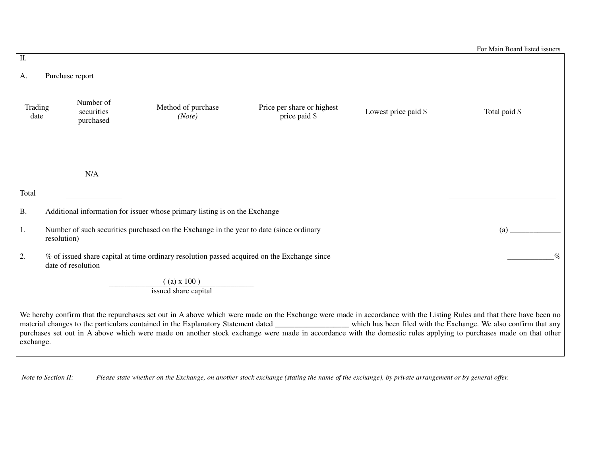| $\overline{\mathbf{II}}$ . |                                                                                                                           |                                      |                                                                            |                                             |                      |                                                                                                                                                                                                                                                                                                                                                                                                                                                                                                              |  |  |  |
|----------------------------|---------------------------------------------------------------------------------------------------------------------------|--------------------------------------|----------------------------------------------------------------------------|---------------------------------------------|----------------------|--------------------------------------------------------------------------------------------------------------------------------------------------------------------------------------------------------------------------------------------------------------------------------------------------------------------------------------------------------------------------------------------------------------------------------------------------------------------------------------------------------------|--|--|--|
| Purchase report<br>A.      |                                                                                                                           |                                      |                                                                            |                                             |                      |                                                                                                                                                                                                                                                                                                                                                                                                                                                                                                              |  |  |  |
| Trading<br>date            |                                                                                                                           | Number of<br>securities<br>purchased | Method of purchase<br>(Note)                                               | Price per share or highest<br>price paid \$ | Lowest price paid \$ | Total paid \$                                                                                                                                                                                                                                                                                                                                                                                                                                                                                                |  |  |  |
|                            |                                                                                                                           | N/A                                  |                                                                            |                                             |                      |                                                                                                                                                                                                                                                                                                                                                                                                                                                                                                              |  |  |  |
| Total                      |                                                                                                                           |                                      |                                                                            |                                             |                      |                                                                                                                                                                                                                                                                                                                                                                                                                                                                                                              |  |  |  |
| <b>B.</b>                  |                                                                                                                           |                                      | Additional information for issuer whose primary listing is on the Exchange |                                             |                      |                                                                                                                                                                                                                                                                                                                                                                                                                                                                                                              |  |  |  |
| 1.                         | Number of such securities purchased on the Exchange in the year to date (since ordinary<br>(a)<br>resolution)             |                                      |                                                                            |                                             |                      |                                                                                                                                                                                                                                                                                                                                                                                                                                                                                                              |  |  |  |
| 2.                         | % of issued share capital at time ordinary resolution passed acquired on the Exchange since<br>$\%$<br>date of resolution |                                      |                                                                            |                                             |                      |                                                                                                                                                                                                                                                                                                                                                                                                                                                                                                              |  |  |  |
|                            |                                                                                                                           |                                      | $($ (a) x 100)                                                             |                                             |                      |                                                                                                                                                                                                                                                                                                                                                                                                                                                                                                              |  |  |  |
|                            |                                                                                                                           |                                      | issued share capital                                                       |                                             |                      |                                                                                                                                                                                                                                                                                                                                                                                                                                                                                                              |  |  |  |
| exchange.                  |                                                                                                                           |                                      |                                                                            |                                             |                      | We hereby confirm that the repurchases set out in A above which were made on the Exchange were made in accordance with the Listing Rules and that there have been no<br>material changes to the particulars contained in the Explanatory Statement dated _______________ which has been filed with the Exchange. We also confirm that any<br>purchases set out in A above which were made on another stock exchange were made in accordance with the domestic rules applying to purchases made on that other |  |  |  |

 *Note to Section II: Please state whether on the Exchange, on another stock exchange (stating the name of the exchange), by private arrangement or by general offer.*